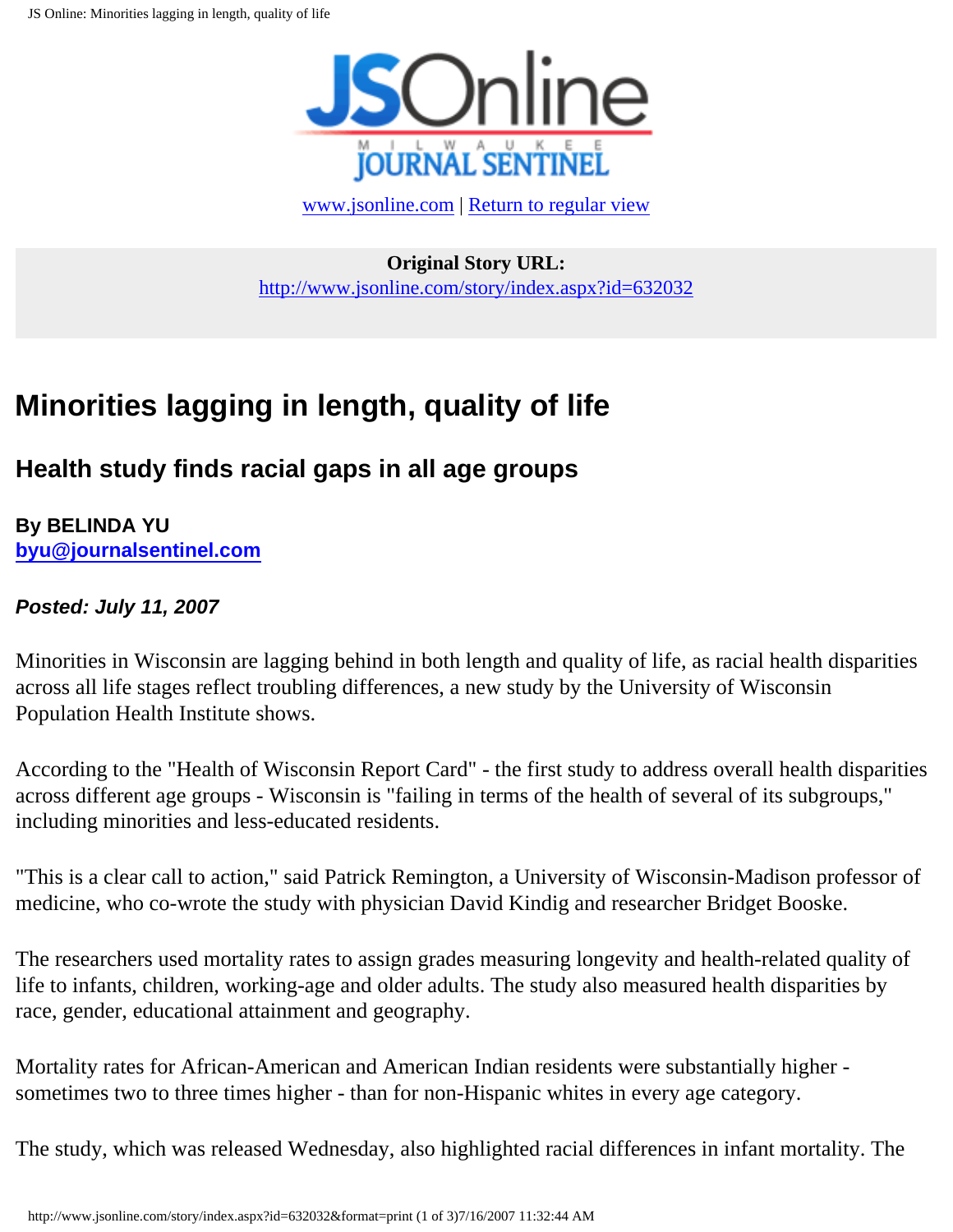

[www.jsonline.com](http://www.jsonline.com/) | [Return to regular view](http://www.jsonline.com/story/index.aspx?id=632032)

**Original Story URL:** <http://www.jsonline.com/story/index.aspx?id=632032>

# **Minorities lagging in length, quality of life**

## **Health study finds racial gaps in all age groups**

#### **By BELINDA YU [byu@journalsentinel.com](mailto:byu@journalsentinel.com)**

#### **Posted: July 11, 2007**

Minorities in Wisconsin are lagging behind in both length and quality of life, as racial health disparities across all life stages reflect troubling differences, a new study by the University of Wisconsin Population Health Institute shows.

According to the "Health of Wisconsin Report Card" - the first study to address overall health disparities across different age groups - Wisconsin is "failing in terms of the health of several of its subgroups," including minorities and less-educated residents.

"This is a clear call to action," said Patrick Remington, a University of Wisconsin-Madison professor of medicine, who co-wrote the study with physician David Kindig and researcher Bridget Booske.

The researchers used mortality rates to assign grades measuring longevity and health-related quality of life to infants, children, working-age and older adults. The study also measured health disparities by race, gender, educational attainment and geography.

Mortality rates for African-American and American Indian residents were substantially higher sometimes two to three times higher - than for non-Hispanic whites in every age category.

The study, which was released Wednesday, also highlighted racial differences in infant mortality. The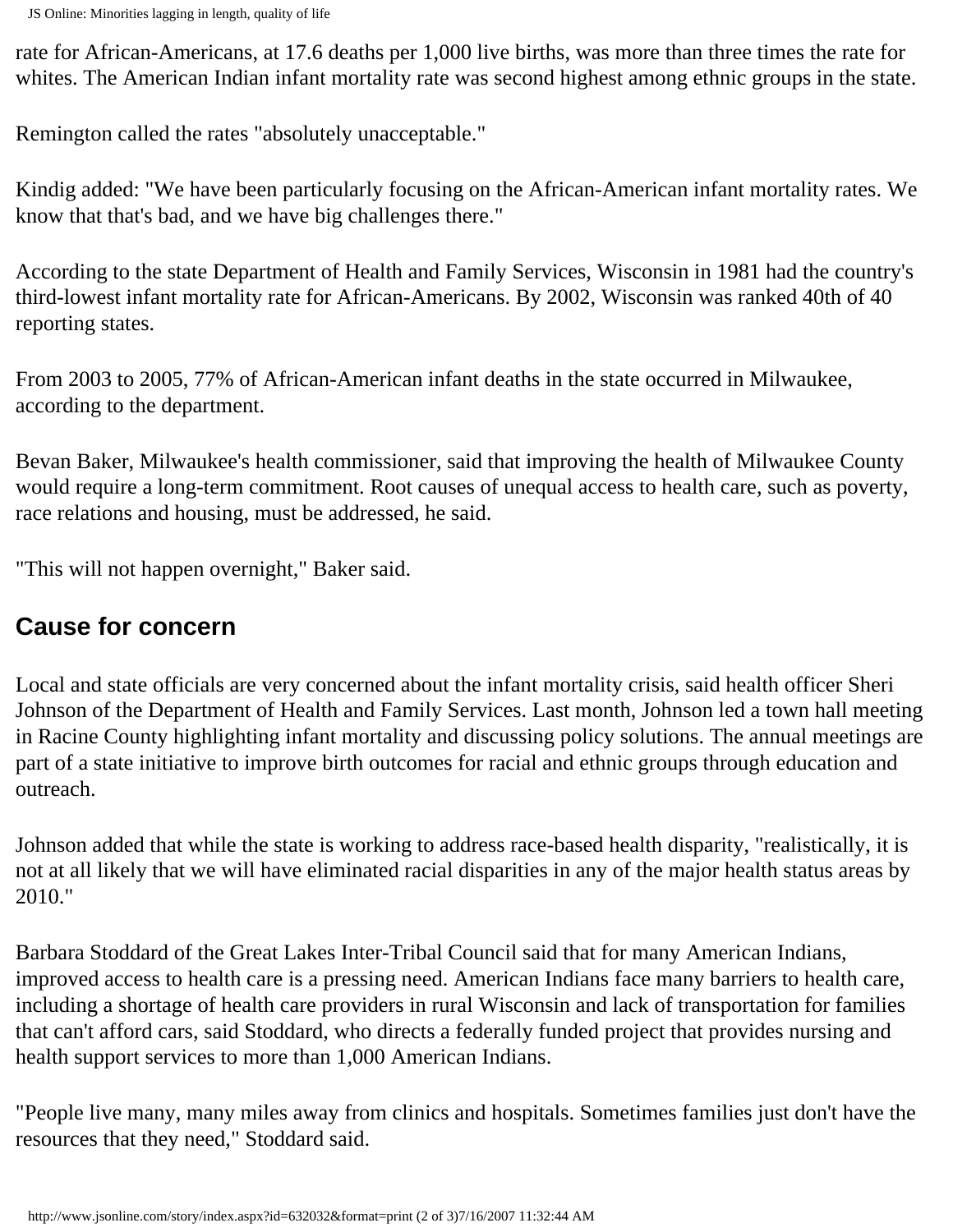rate for African-Americans, at 17.6 deaths per 1,000 live births, was more than three times the rate for whites. The American Indian infant mortality rate was second highest among ethnic groups in the state.

Remington called the rates "absolutely unacceptable."

Kindig added: "We have been particularly focusing on the African-American infant mortality rates. We know that that's bad, and we have big challenges there."

According to the state Department of Health and Family Services, Wisconsin in 1981 had the country's third-lowest infant mortality rate for African-Americans. By 2002, Wisconsin was ranked 40th of 40 reporting states.

From 2003 to 2005, 77% of African-American infant deaths in the state occurred in Milwaukee, according to the department.

Bevan Baker, Milwaukee's health commissioner, said that improving the health of Milwaukee County would require a long-term commitment. Root causes of unequal access to health care, such as poverty, race relations and housing, must be addressed, he said.

"This will not happen overnight," Baker said.

### **Cause for concern**

Local and state officials are very concerned about the infant mortality crisis, said health officer Sheri Johnson of the Department of Health and Family Services. Last month, Johnson led a town hall meeting in Racine County highlighting infant mortality and discussing policy solutions. The annual meetings are part of a state initiative to improve birth outcomes for racial and ethnic groups through education and outreach.

Johnson added that while the state is working to address race-based health disparity, "realistically, it is not at all likely that we will have eliminated racial disparities in any of the major health status areas by 2010."

Barbara Stoddard of the Great Lakes Inter-Tribal Council said that for many American Indians, improved access to health care is a pressing need. American Indians face many barriers to health care, including a shortage of health care providers in rural Wisconsin and lack of transportation for families that can't afford cars, said Stoddard, who directs a federally funded project that provides nursing and health support services to more than 1,000 American Indians.

"People live many, many miles away from clinics and hospitals. Sometimes families just don't have the resources that they need," Stoddard said.